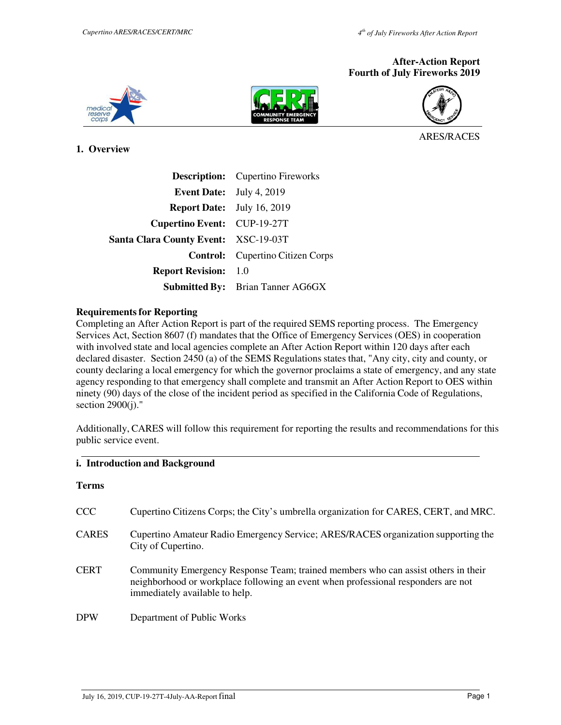### **After-Action Report Fourth of July Fireworks 2019**







ARES/RACES

**1. Overview** 

|                                             | <b>Description:</b> Cupertino Fireworks |
|---------------------------------------------|-----------------------------------------|
| <b>Event Date:</b> July 4, 2019             |                                         |
| <b>Report Date:</b> July 16, 2019           |                                         |
| Cupertino Event: CUP-19-27T                 |                                         |
| <b>Santa Clara County Event: XSC-19-03T</b> |                                         |
|                                             | <b>Control:</b> Cupertino Citizen Corps |
| <b>Report Revision:</b> 1.0                 |                                         |
|                                             | <b>Submitted By:</b> Brian Tanner AG6GX |

#### **Requirements for Reporting**

Completing an After Action Report is part of the required SEMS reporting process. The Emergency Services Act, Section 8607 (f) mandates that the Office of Emergency Services (OES) in cooperation with involved state and local agencies complete an After Action Report within 120 days after each declared disaster. Section 2450 (a) of the SEMS Regulations states that, "Any city, city and county, or county declaring a local emergency for which the governor proclaims a state of emergency, and any state agency responding to that emergency shall complete and transmit an After Action Report to OES within ninety (90) days of the close of the incident period as specified in the California Code of Regulations, section 2900(j)."

Additionally, CARES will follow this requirement for reporting the results and recommendations for this public service event.

# **i. Introduction and Background**

| <b>CCC</b>   | Cupertino Citizens Corps; the City's umbrella organization for CARES, CERT, and MRC.                                                                                                                     |
|--------------|----------------------------------------------------------------------------------------------------------------------------------------------------------------------------------------------------------|
| <b>CARES</b> | Cupertino Amateur Radio Emergency Service; ARES/RACES organization supporting the<br>City of Cupertino.                                                                                                  |
| <b>CERT</b>  | Community Emergency Response Team; trained members who can assist others in their<br>neighborhood or workplace following an event when professional responders are not<br>immediately available to help. |
| <b>DPW</b>   | Department of Public Works                                                                                                                                                                               |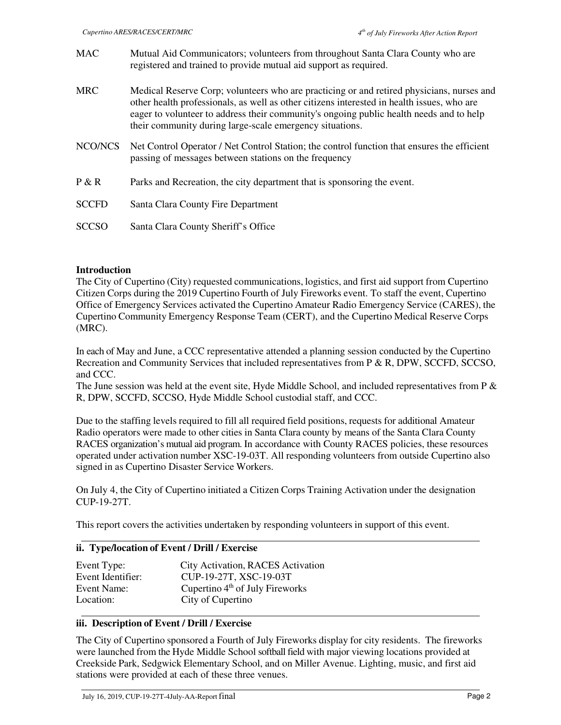| <b>MAC</b>   | Mutual Aid Communicators; volunteers from throughout Santa Clara County who are<br>registered and trained to provide mutual aid support as required.                                                                                                                                                                                           |
|--------------|------------------------------------------------------------------------------------------------------------------------------------------------------------------------------------------------------------------------------------------------------------------------------------------------------------------------------------------------|
| <b>MRC</b>   | Medical Reserve Corp; volunteers who are practicing or and retired physicians, nurses and<br>other health professionals, as well as other citizens interested in health issues, who are<br>eager to volunteer to address their community's ongoing public health needs and to help<br>their community during large-scale emergency situations. |
| NCO/NCS      | Net Control Operator / Net Control Station; the control function that ensures the efficient<br>passing of messages between stations on the frequency                                                                                                                                                                                           |
| P & R        | Parks and Recreation, the city department that is sponsoring the event.                                                                                                                                                                                                                                                                        |
| <b>SCCFD</b> | Santa Clara County Fire Department                                                                                                                                                                                                                                                                                                             |
| <b>SCCSO</b> | Santa Clara County Sheriff's Office                                                                                                                                                                                                                                                                                                            |

## **Introduction**

The City of Cupertino (City) requested communications, logistics, and first aid support from Cupertino Citizen Corps during the 2019 Cupertino Fourth of July Fireworks event. To staff the event, Cupertino Office of Emergency Services activated the Cupertino Amateur Radio Emergency Service (CARES), the Cupertino Community Emergency Response Team (CERT), and the Cupertino Medical Reserve Corps (MRC).

In each of May and June, a CCC representative attended a planning session conducted by the Cupertino Recreation and Community Services that included representatives from P & R, DPW, SCCFD, SCCSO, and CCC.

The June session was held at the event site, Hyde Middle School, and included representatives from P & R, DPW, SCCFD, SCCSO, Hyde Middle School custodial staff, and CCC.

Due to the staffing levels required to fill all required field positions, requests for additional Amateur Radio operators were made to other cities in Santa Clara county by means of the Santa Clara County RACES organization's mutual aid program. In accordance with County RACES policies, these resources operated under activation number XSC-19-03T. All responding volunteers from outside Cupertino also signed in as Cupertino Disaster Service Workers.

On July 4, the City of Cupertino initiated a Citizen Corps Training Activation under the designation CUP-19-27T.

This report covers the activities undertaken by responding volunteers in support of this event.

## **ii. Type/location of Event / Drill / Exercise**

| Event Type:       | City Activation, RACES Activation |
|-------------------|-----------------------------------|
| Event Identifier: | CUP-19-27T, XSC-19-03T            |
| Event Name:       | Cupertino $4th$ of July Fireworks |
| Location:         | City of Cupertino                 |

## **iii. Description of Event / Drill / Exercise**

The City of Cupertino sponsored a Fourth of July Fireworks display for city residents. The fireworks were launched from the Hyde Middle School softball field with major viewing locations provided at Creekside Park, Sedgwick Elementary School, and on Miller Avenue. Lighting, music, and first aid stations were provided at each of these three venues.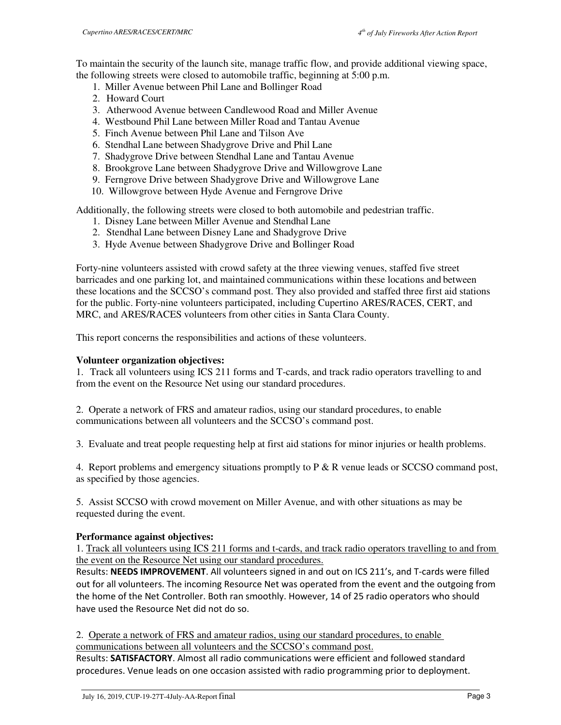To maintain the security of the launch site, manage traffic flow, and provide additional viewing space, the following streets were closed to automobile traffic, beginning at 5:00 p.m.

- 1. Miller Avenue between Phil Lane and Bollinger Road
- 2. Howard Court
- 3. Atherwood Avenue between Candlewood Road and Miller Avenue
- 4. Westbound Phil Lane between Miller Road and Tantau Avenue
- 5. Finch Avenue between Phil Lane and Tilson Ave
- 6. Stendhal Lane between Shadygrove Drive and Phil Lane
- 7. Shadygrove Drive between Stendhal Lane and Tantau Avenue
- 8. Brookgrove Lane between Shadygrove Drive and Willowgrove Lane
- 9. Ferngrove Drive between Shadygrove Drive and Willowgrove Lane
- 10. Willowgrove between Hyde Avenue and Ferngrove Drive

Additionally, the following streets were closed to both automobile and pedestrian traffic.

- 1. Disney Lane between Miller Avenue and Stendhal Lane
- 2. Stendhal Lane between Disney Lane and Shadygrove Drive
- 3. Hyde Avenue between Shadygrove Drive and Bollinger Road

Forty-nine volunteers assisted with crowd safety at the three viewing venues, staffed five street barricades and one parking lot, and maintained communications within these locations and between these locations and the SCCSO's command post. They also provided and staffed three first aid stations for the public. Forty-nine volunteers participated, including Cupertino ARES/RACES, CERT, and MRC, and ARES/RACES volunteers from other cities in Santa Clara County.

This report concerns the responsibilities and actions of these volunteers.

# **Volunteer organization objectives:**

1. Track all volunteers using ICS 211 forms and T-cards, and track radio operators travelling to and from the event on the Resource Net using our standard procedures.

2. Operate a network of FRS and amateur radios, using our standard procedures, to enable communications between all volunteers and the SCCSO's command post.

3. Evaluate and treat people requesting help at first aid stations for minor injuries or health problems.

4. Report problems and emergency situations promptly to P & R venue leads or SCCSO command post, as specified by those agencies.

5. Assist SCCSO with crowd movement on Miller Avenue, and with other situations as may be requested during the event.

# **Performance against objectives:**

1. Track all volunteers using ICS 211 forms and t-cards, and track radio operators travelling to and from the event on the Resource Net using our standard procedures.

Results: **NEEDS IMPROVEMENT**. All volunteers signed in and out on ICS 211's, and T-cards were filled out for all volunteers. The incoming Resource Net was operated from the event and the outgoing from the home of the Net Controller. Both ran smoothly. However, 14 of 25 radio operators who should have used the Resource Net did not do so.

2. Operate a network of FRS and amateur radios, using our standard procedures, to enable communications between all volunteers and the SCCSO's command post.

Results: **SATISFACTORY**. Almost all radio communications were efficient and followed standard procedures. Venue leads on one occasion assisted with radio programming prior to deployment.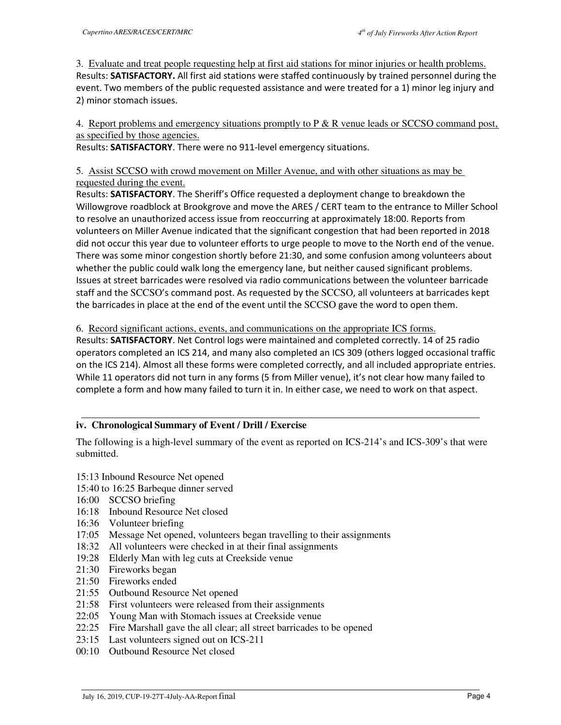3. Evaluate and treat people requesting help at first aid stations for minor injuries or health problems. Results: **SATISFACTORY.** All first aid stations were staffed continuously by trained personnel during the event. Two members of the public requested assistance and were treated for a 1) minor leg injury and 2) minor stomach issues.

4. Report problems and emergency situations promptly to P & R venue leads or SCCSO command post, as specified by those agencies.

Results: **SATISFACTORY**. There were no 911-level emergency situations.

5. Assist SCCSO with crowd movement on Miller Avenue, and with other situations as may be requested during the event.

Results: **SATISFACTORY**. The Sheriff's Office requested a deployment change to breakdown the Willowgrove roadblock at Brookgrove and move the ARES / CERT team to the entrance to Miller School to resolve an unauthorized access issue from reoccurring at approximately 18:00. Reports from volunteers on Miller Avenue indicated that the significant congestion that had been reported in 2018 did not occur this year due to volunteer efforts to urge people to move to the North end of the venue. There was some minor congestion shortly before 21:30, and some confusion among volunteers about whether the public could walk long the emergency lane, but neither caused significant problems. Issues at street barricades were resolved via radio communications between the volunteer barricade staff and the SCCSO's command post. As requested by the SCCSO, all volunteers at barricades kept the barricades in place at the end of the event until the SCCSO gave the word to open them.

## 6. Record significant actions, events, and communications on the appropriate ICS forms.

Results: **SATISFACTORY**. Net Control logs were maintained and completed correctly. 14 of 25 radio operators completed an ICS 214, and many also completed an ICS 309 (others logged occasional traffic on the ICS 214). Almost all these forms were completed correctly, and all included appropriate entries. While 11 operators did not turn in any forms (5 from Miller venue), it's not clear how many failed to complete a form and how many failed to turn it in. In either case, we need to work on that aspect.

# **iv. Chronological Summary of Event / Drill / Exercise**

The following is a high-level summary of the event as reported on ICS-214's and ICS-309's that were submitted.

- 15:13 Inbound Resource Net opened
- 15:40 to 16:25 Barbeque dinner served
- 16:00 SCCSO briefing
- 16:18 Inbound Resource Net closed
- 16:36 Volunteer briefing
- 17:05 Message Net opened, volunteers began travelling to their assignments
- 18:32 All volunteers were checked in at their final assignments
- 19:28 Elderly Man with leg cuts at Creekside venue
- 21:30 Fireworks began
- 21:50 Fireworks ended
- 21:55 Outbound Resource Net opened
- 21:58 First volunteers were released from their assignments
- 22:05 Young Man with Stomach issues at Creekside venue
- 22:25 Fire Marshall gave the all clear; all street barricades to be opened
- 23:15 Last volunteers signed out on ICS-211
- 00:10 Outbound Resource Net closed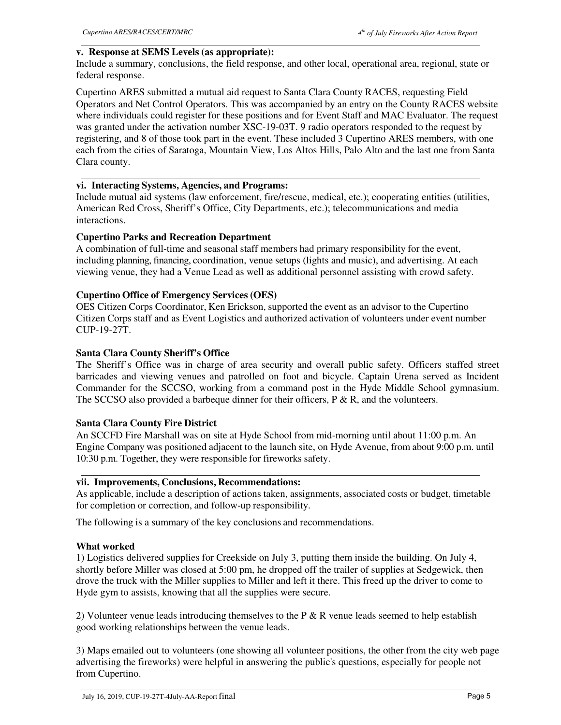## **v. Response at SEMS Levels (as appropriate):**

Include a summary, conclusions, the field response, and other local, operational area, regional, state or federal response.

Cupertino ARES submitted a mutual aid request to Santa Clara County RACES, requesting Field Operators and Net Control Operators. This was accompanied by an entry on the County RACES website where individuals could register for these positions and for Event Staff and MAC Evaluator. The request was granted under the activation number XSC-19-03T. 9 radio operators responded to the request by registering, and 8 of those took part in the event. These included 3 Cupertino ARES members, with one each from the cities of Saratoga, Mountain View, Los Altos Hills, Palo Alto and the last one from Santa Clara county.

# **vi. Interacting Systems, Agencies, and Programs:**

Include mutual aid systems (law enforcement, fire/rescue, medical, etc.); cooperating entities (utilities, American Red Cross, Sheriff's Office, City Departments, etc.); telecommunications and media interactions.

# **Cupertino Parks and Recreation Department**

A combination of full-time and seasonal staff members had primary responsibility for the event, including planning, financing, coordination, venue setups (lights and music), and advertising. At each viewing venue, they had a Venue Lead as well as additional personnel assisting with crowd safety.

# **Cupertino Office of Emergency Services (OES)**

OES Citizen Corps Coordinator, Ken Erickson, supported the event as an advisor to the Cupertino Citizen Corps staff and as Event Logistics and authorized activation of volunteers under event number CUP-19-27T.

# **Santa Clara County Sheriff's Office**

The Sheriff's Office was in charge of area security and overall public safety. Officers staffed street barricades and viewing venues and patrolled on foot and bicycle. Captain Urena served as Incident Commander for the SCCSO, working from a command post in the Hyde Middle School gymnasium. The SCCSO also provided a barbeque dinner for their officers,  $P \& R$ , and the volunteers.

# **Santa Clara County Fire District**

An SCCFD Fire Marshall was on site at Hyde School from mid-morning until about 11:00 p.m. An Engine Company was positioned adjacent to the launch site, on Hyde Avenue, from about 9:00 p.m. until 10:30 p.m. Together, they were responsible for fireworks safety.

## **vii. Improvements, Conclusions, Recommendations:**

As applicable, include a description of actions taken, assignments, associated costs or budget, timetable for completion or correction, and follow-up responsibility.

The following is a summary of the key conclusions and recommendations.

## **What worked**

1) Logistics delivered supplies for Creekside on July 3, putting them inside the building. On July 4, shortly before Miller was closed at 5:00 pm, he dropped off the trailer of supplies at Sedgewick, then drove the truck with the Miller supplies to Miller and left it there. This freed up the driver to come to Hyde gym to assists, knowing that all the supplies were secure.

2) Volunteer venue leads introducing themselves to the  $P \& R$  venue leads seemed to help establish good working relationships between the venue leads.

3) Maps emailed out to volunteers (one showing all volunteer positions, the other from the city web page advertising the fireworks) were helpful in answering the public's questions, especially for people not from Cupertino.